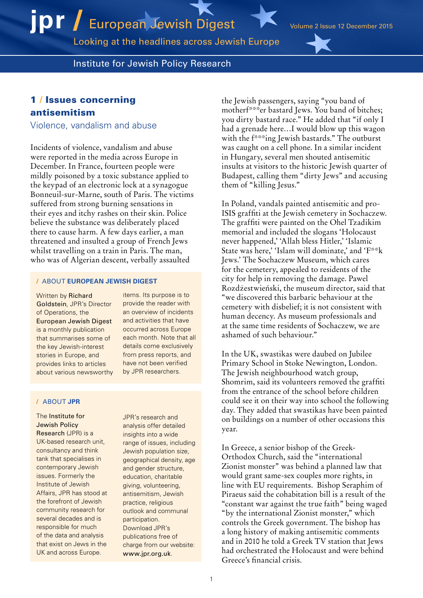Looking at the headlines across Jewish Europe

Institute for Jewish Policy Research

# 1 / Issues concerning antisemitism

Violence, vandalism and abuse

Incidents of violence, vandalism and abuse were reported in the media across Europe in December. In France, fourteen people were mildly poisoned by a toxic substance applied to the keypad of an electronic lock at a synagogue Bonneuil-sur-Marne, south of Paris. The victims suffered from strong burning sensations in their eyes and itchy rashes on their skin. Police believe the substance was deliberately placed there to cause harm. A few days earlier, a man threatened and insulted a group of French Jews whilst travelling on a train in Paris. The man, who was of Algerian descent, verbally assaulted

### / ABOUT **EUROPEAN JEWISH DIGEST**

Written by Richard Goldstein, JPR's Director of Operations, the European Jewish Digest is a monthly publication that summarises some of the key Jewish-interest stories in Europe, and provides links to articles about various newsworthy items. Its purpose is to provide the reader with an overview of incidents and activities that have occurred across Europe each month. Note that all details come exclusively from press reports, and have not been verified by JPR researchers.

### / ABOUT **JPR**

## The Institute for Jewish Policy

Research (JPR) is a UK-based research unit, consultancy and think tank that specialises in contemporary Jewish issues. Formerly the Institute of Jewish Affairs, JPR has stood at the forefront of Jewish community research for several decades and is responsible for much of the data and analysis that exist on Jews in the UK and across Europe.

JPR's research and analysis offer detailed insights into a wide range of issues, including Jewish population size, geographical density, age and gender structure, education, charitable giving, volunteering, antisemitism, Jewish practice, religious outlook and communal participation. Download JPR's publications free of charge from our website: [www.jpr.org.uk](http://www.jpr.org.uk).

the Jewish passengers, saying "you band of motherf\*\*\*er bastard Jews. You band of bitches; you dirty bastard race." He added that "if only I had a grenade here…I would blow up this wagon with the f\*\*\*ing Jewish bastards." The outburst was caught on a cell phone. In a similar incident in Hungary, several men shouted antisemitic insults at visitors to the historic Jewish quarter of Budapest, calling them "dirty Jews" and accusing them of "killing Jesus."

In Poland, vandals painted antisemitic and pro-ISIS graffiti at the Jewish cemetery in Sochaczew. The graffiti were painted on the Ohel Tzadikim memorial and included the slogans 'Holocaust never happened,' 'Allah bless Hitler,' 'Islamic State was here,' 'Islam will dominate,' and 'F\*\*k Jews.' The Sochaczew Museum, which cares for the cemetery, appealed to residents of the city for help in removing the damage. Pawel Rozdżestwieński, the museum director, said that "we discovered this barbaric behaviour at the cemetery with disbelief; it is not consistent with human decency. As museum professionals and at the same time residents of Sochaczew, we are ashamed of such behaviour."

In the UK, swastikas were daubed on Jubilee Primary School in Stoke Newington, London. The Jewish neighbourhood watch group, Shomrim, said its volunteers removed the graffiti from the entrance of the school before children could see it on their way into school the following day. They added that swastikas have been painted on buildings on a number of other occasions this year.

In Greece, a senior bishop of the Greek-Orthodox Church, said the "international Zionist monster" was behind a planned law that would grant same-sex couples more rights, in line with EU requirements. Bishop Seraphim of Piraeus said the cohabitation bill is a result of the "constant war against the true faith" being waged "by the international Zionist monster," which controls the Greek government. The bishop has a long history of making antisemitic comments and in 2010 he told a Greek TV station that Jews had orchestrated the Holocaust and were behind Greece's financial crisis.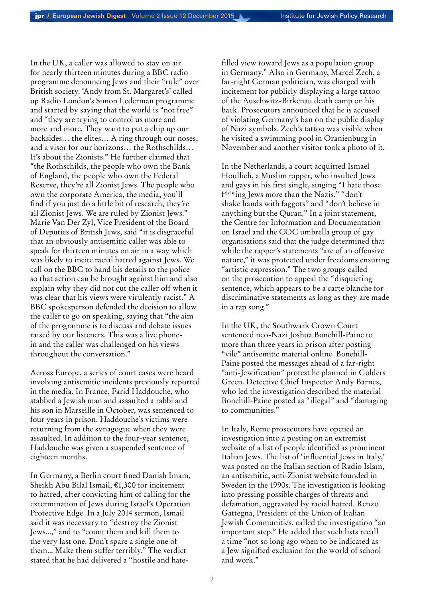In the UK, a caller was allowed to stay on air for nearly thirteen minutes during a BBC radio programme denouncing Jews and their "rule" over British society. 'Andy from St. Margaret's' called up Radio London's Simon Lederman programme and started by saying that the world is "not free" and "they are trying to control us more and more and more. They want to put a chip up our backsides… the elites… A ring through our noses, and a visor for our horizons… the Rothschilds… It's about the Zionists." He further claimed that "the Rothschilds, the people who own the Bank of England, the people who own the Federal Reserve, they're all Zionist Jews. The people who own the corporate America, the media, you'll find if you just do a little bit of research, they're all Zionist Jews. We are ruled by Zionist Jews." Marie Van Der Zyl, Vice President of the Board of Deputies of British Jews, said "it is disgraceful that an obviously antisemitic caller was able to speak for thirteen minutes on air in a way which was likely to incite racial hatred against Jews. We call on the BBC to hand his details to the police so that action can be brought against him and also explain why they did not cut the caller off when it was clear that his views were virulently racist." A BBC spokesperson defended the decision to allow the caller to go on speaking, saying that "the aim of the programme is to discuss and debate issues raised by our listeners. This was a live phonein and the caller was challenged on his views throughout the conversation."

Across Europe, a series of court cases were heard involving antisemitic incidents previously reported in the media. In France, Farid Haddouche, who stabbed a Jewish man and assaulted a rabbi and his son in Marseille in October, was sentenced to four years in prison. Haddouche's victims were returning from the synagogue when they were assaulted. In addition to the four-year sentence, Haddouche was given a suspended sentence of eighteen months.

In Germany, a Berlin court fined Danish Imam, Sheikh Abu Bilal Ismail, €1,300 for incitement to hatred, after convicting him of calling for the extermination of Jews during Israel's Operation Protective Edge. In a July 2014 sermon, Ismail said it was necessary to "destroy the Zionist Jews...," and to "count them and kill them to the very last one. Don't spare a single one of them... Make them suffer terribly." The verdict stated that he had delivered a "hostile and hatefilled view toward Jews as a population group in Germany." Also in Germany, Marcel Zech, a far-right German politician, was charged with incitement for publicly displaying a large tattoo of the Auschwitz-Birkenau death camp on his back. Prosecutors announced that he is accused of violating Germany's ban on the public display of Nazi symbols. Zech's tattoo was visible when he visited a swimming pool in Oranienburg in November and another visitor took a photo of it.

In the Netherlands, a court acquitted Ismael Houllich, a Muslim rapper, who insulted Jews and gays in his first single, singing "I hate those f\*\*\*ing Jews more than the Nazis," "don't shake hands with faggots" and "don't believe in anything but the Quran." In a joint statement, the Centre for Information and Documentation on Israel and the COC umbrella group of gay organisations said that the judge determined that while the rapper's statements "are of an offensive" nature," it was protected under freedoms ensuring "artistic expression." The two groups called on the prosecution to appeal the "disquieting sentence, which appears to be a carte blanche for discriminative statements as long as they are made in a rap song."

In the UK, the Southwark Crown Court sentenced neo-Nazi Joshua Bonehill-Paine to more than three years in prison after posting "vile" antisemitic material online. Bonehill-Paine posted the messages ahead of a far-right "anti-Jewification" protest he planned in Golders Green. Detective Chief Inspector Andy Barnes, who led the investigation described the material Bonehill-Paine posted as "illegal" and "damaging to communities."

In Italy, Rome prosecutors have opened an investigation into a posting on an extremist website of a list of people identified as prominent Italian Jews. The list of 'influential Jews in Italy,' was posted on the Italian section of Radio Islam, an antisemitic, anti-Zionist website founded in Sweden in the 1990s. The investigation is looking into pressing possible charges of threats and defamation, aggravated by racial hatred. Renzo Gattegna, President of the Union of Italian Jewish Communities, called the investigation "an important step." He added that such lists recall a time "not so long ago when to be indicated as a Jew signified exclusion for the world of school and work."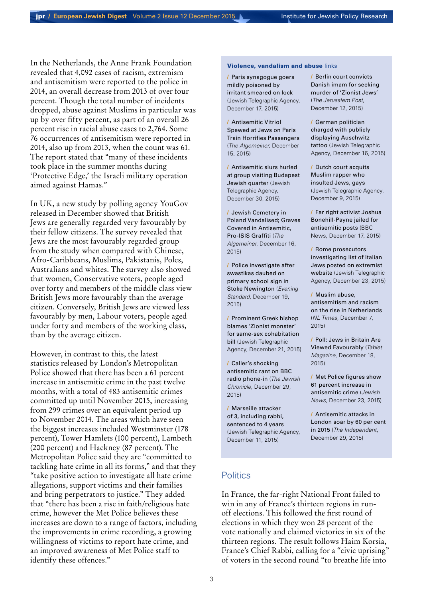In the Netherlands, the Anne Frank Foundation revealed that 4,092 cases of racism, extremism and antisemitism were reported to the police in 2014, an overall decrease from 2013 of over four percent. Though the total number of incidents dropped, abuse against Muslims in particular was up by over fifty percent, as part of an overall 26 percent rise in racial abuse cases to 2,764. Some 76 occurrences of antisemitism were reported in 2014, also up from 2013, when the count was 61. The report stated that "many of these incidents took place in the summer months during 'Protective Edge,' the Israeli military operation aimed against Hamas."

In UK, a new study by polling agency YouGov released in December showed that British Jews are generally regarded very favourably by their fellow citizens. The survey revealed that Jews are the most favourably regarded group from the study when compared with Chinese, Afro-Caribbeans, Muslims, Pakistanis, Poles, Australians and whites. The survey also showed that women, Conservative voters, people aged over forty and members of the middle class view British Jews more favourably than the average citizen. Conversely, British Jews are viewed less favourably by men, Labour voters, people aged under forty and members of the working class, than by the average citizen.

However, in contrast to this, the latest statistics released by London's Metropolitan Police showed that there has been a 61 percent increase in antisemitic crime in the past twelve months, with a total of 483 antisemitic crimes committed up until November 2015, increasing from 299 crimes over an equivalent period up to November 2014. The areas which have seen the biggest increases included Westminster (178 percent), Tower Hamlets (100 percent), Lambeth (200 percent) and Hackney (87 percent). The Metropolitan Police said they are "committed to tackling hate crime in all its forms," and that they "take positive action to investigate all hate crime allegations, support victims and their families and bring perpetrators to justice." They added that "there has been a rise in faith/religious hate crime, however the Met Police believes these increases are down to a range of factors, including the improvements in crime recording, a growing willingness of victims to report hate crime, and an improved awareness of Met Police staff to identify these offences."

### Violence, vandalism and abuse links

/ [Paris synagogue goers](http://www.jta.org/2015/12/17/news-opinion/world/14-paris-synagogue-goers-mildly-poisoned-by-irritant-smeared-on-lock-keypad)  [mildly poisoned by](http://www.jta.org/2015/12/17/news-opinion/world/14-paris-synagogue-goers-mildly-poisoned-by-irritant-smeared-on-lock-keypad)  [irritant smeared on lock](http://www.jta.org/2015/12/17/news-opinion/world/14-paris-synagogue-goers-mildly-poisoned-by-irritant-smeared-on-lock-keypad) (Jewish Telegraphic Agency, December 17, 2015)

/ [Antisemitic Vitriol](https://www.algemeiner.com/2015/12/15/antisemitic-vitriol-spewed-at-jews-on-paris-train-horrifies-passengers-video/)  [Spewed at Jews on Paris](https://www.algemeiner.com/2015/12/15/antisemitic-vitriol-spewed-at-jews-on-paris-train-horrifies-passengers-video/)  [Train Horrifies Passengers](https://www.algemeiner.com/2015/12/15/antisemitic-vitriol-spewed-at-jews-on-paris-train-horrifies-passengers-video/)  (*The Algemeiner*, December 15, 2015)

/ [Antisemitic slurs hurled](http://www.jta.org/2015/12/30/news-opinion/world/anti-semitic-slurs-hurled-at-group-visiting-budapest-jewish-quarter)  [at group visiting Budapest](http://www.jta.org/2015/12/30/news-opinion/world/anti-semitic-slurs-hurled-at-group-visiting-budapest-jewish-quarter)  [Jewish quarter](http://www.jta.org/2015/12/30/news-opinion/world/anti-semitic-slurs-hurled-at-group-visiting-budapest-jewish-quarter) (Jewish Telegraphic Agency, December 30, 2015)

/ [Jewish Cemetery in](https://www.algemeiner.com/2015/12/16/jewish-cemetery-in-poland-vandalized-graves-covered-in-antisemitic-pro-isis-graffiti/)  [Poland Vandalised; Graves](https://www.algemeiner.com/2015/12/16/jewish-cemetery-in-poland-vandalized-graves-covered-in-antisemitic-pro-isis-graffiti/)  [Covered in Antisemitic,](https://www.algemeiner.com/2015/12/16/jewish-cemetery-in-poland-vandalized-graves-covered-in-antisemitic-pro-isis-graffiti/)  [Pro-ISIS Graffiti](https://www.algemeiner.com/2015/12/16/jewish-cemetery-in-poland-vandalized-graves-covered-in-antisemitic-pro-isis-graffiti/) (*The Algemeiner*, December 16, 2015)

/ [Police investigate after](Police investigate after swastikas daubed on primary school sign in Stoke Newington)  [swastikas daubed on](Police investigate after swastikas daubed on primary school sign in Stoke Newington)  [primary school sign in](Police investigate after swastikas daubed on primary school sign in Stoke Newington)  [Stoke Newington](Police investigate after swastikas daubed on primary school sign in Stoke Newington) (*Evening Standard*, December 19, 2015)

/ [Prominent Greek bishop](http://www.jta.org/2015/12/21/news-opinion/world/prominent-greek-bishop-blames-zionist-monster-for-same-sex-cohabitation-bill)  [blames 'Zionist monster'](http://www.jta.org/2015/12/21/news-opinion/world/prominent-greek-bishop-blames-zionist-monster-for-same-sex-cohabitation-bill)  [for same-sex cohabitation](http://www.jta.org/2015/12/21/news-opinion/world/prominent-greek-bishop-blames-zionist-monster-for-same-sex-cohabitation-bill)  [bill](http://www.jta.org/2015/12/21/news-opinion/world/prominent-greek-bishop-blames-zionist-monster-for-same-sex-cohabitation-bill) (Jewish Telegraphic Agency, December 21, 2015)

/ [Caller's shocking](http://www.thejc.com/news/uk-news/151754/callers-shocking-antisemitic-rant-bbc-radio-phone)  [antisemitic rant on BBC](http://www.thejc.com/news/uk-news/151754/callers-shocking-antisemitic-rant-bbc-radio-phone)  [radio phone-in](http://www.thejc.com/news/uk-news/151754/callers-shocking-antisemitic-rant-bbc-radio-phone) (*The Jewish Chronicle*, December 29, 2015)

/ [Marseille attacker](http://www.jta.org/2015/12/11/news-opinion/world/french-court-jails-stabber-of-marseille-jew-for-4-years)  [of 3, including rabbi,](http://www.jta.org/2015/12/11/news-opinion/world/french-court-jails-stabber-of-marseille-jew-for-4-years)  [sentenced to 4 years](http://www.jta.org/2015/12/11/news-opinion/world/french-court-jails-stabber-of-marseille-jew-for-4-years)  (Jewish Telegraphic Agency, December 11, 2015)

/ [Berlin court convicts](http://www.jpost.com/Diaspora/Berlin-court-convicts-Danish-imam-for-seeking-murder-of-Zionist-Jews-436813)  [Danish imam for seeking](http://www.jpost.com/Diaspora/Berlin-court-convicts-Danish-imam-for-seeking-murder-of-Zionist-Jews-436813)  [murder of 'Zionist Jews'](http://www.jpost.com/Diaspora/Berlin-court-convicts-Danish-imam-for-seeking-murder-of-Zionist-Jews-436813) (*The Jerusalem Post*, December 12, 2015)

/ [German politician](http://www.jta.org/2015/12/16/news-opinion/world/german-politician-charged-for-publicly-displaying-auschwitz-tattoo)  [charged with publicly](http://www.jta.org/2015/12/16/news-opinion/world/german-politician-charged-for-publicly-displaying-auschwitz-tattoo)  [displaying Auschwitz](http://www.jta.org/2015/12/16/news-opinion/world/german-politician-charged-for-publicly-displaying-auschwitz-tattoo)  [tattoo](http://www.jta.org/2015/12/16/news-opinion/world/german-politician-charged-for-publicly-displaying-auschwitz-tattoo) (Jewish Telegraphic Agency, December 16, 2015)

/ [Dutch court acquits](http://www.jta.org/2015/12/09/news-opinion/world/dutch-court-acquits-muslim-rapper-who-insulted-jews-gays)  [Muslim rapper who](http://www.jta.org/2015/12/09/news-opinion/world/dutch-court-acquits-muslim-rapper-who-insulted-jews-gays)  [insulted Jews, gays](http://www.jta.org/2015/12/09/news-opinion/world/dutch-court-acquits-muslim-rapper-who-insulted-jews-gays) (Jewish Telegraphic Agency, December 9, 2015)

/ [Far right activist Joshua](http://www.bbc.co.uk/news/uk-england-somerset-35124370)  [Bonehill-Payne jailed for](http://www.bbc.co.uk/news/uk-england-somerset-35124370)  [antisemitic posts](http://www.bbc.co.uk/news/uk-england-somerset-35124370) (BBC News, December 17, 2015)

/ [Rome prosecutors](http://www.jta.org/2015/12/23/news-opinion/world/rome-prosecutors-investigating-list-of-italian-jews-posted-on-extremist-website)  [investigating list of Italian](http://www.jta.org/2015/12/23/news-opinion/world/rome-prosecutors-investigating-list-of-italian-jews-posted-on-extremist-website)  [Jews posted on extremist](http://www.jta.org/2015/12/23/news-opinion/world/rome-prosecutors-investigating-list-of-italian-jews-posted-on-extremist-website)  [website](http://www.jta.org/2015/12/23/news-opinion/world/rome-prosecutors-investigating-list-of-italian-jews-posted-on-extremist-website) (Jewish Telegraphic Agency, December 23, 2015)

/ [Muslim abuse,](http://www.nltimes.nl/2015/12/07/muslim-abuse-anti-semitism-and-racism-on-the-rise-in-netherlands/)  [antisemitism and racism](http://www.nltimes.nl/2015/12/07/muslim-abuse-anti-semitism-and-racism-on-the-rise-in-netherlands/)  [on the rise in Netherlands](http://www.nltimes.nl/2015/12/07/muslim-abuse-anti-semitism-and-racism-on-the-rise-in-netherlands/)  (*NL Times*, December 7, 2015)

/ [Poll: Jews in Britain Are](http://www.tabletmag.com/scroll/196021/poll-jews-in-britain-are-viewed-favorably)  [Viewed Favourably](http://www.tabletmag.com/scroll/196021/poll-jews-in-britain-are-viewed-favorably) (*Tablet Magazine*, December 18, 2015)

/ [Met Police figures show](http://www.jewishnews.co.uk/met-police-figures-show-61-percent-increase-in-anti-semitic-crime/)  [61 percent increase in](http://www.jewishnews.co.uk/met-police-figures-show-61-percent-increase-in-anti-semitic-crime/)  [antisemitic crime](http://www.jewishnews.co.uk/met-police-figures-show-61-percent-increase-in-anti-semitic-crime/) (*Jewish News*, December 23, 2015)

/ [Antisemitic attacks in](http://www.independent.co.uk/news/uk/crime/anti-semitic-attacks-soar-by-60-percent-in-2015-a6789556.html)  [London soar by 60 per cent](http://www.independent.co.uk/news/uk/crime/anti-semitic-attacks-soar-by-60-percent-in-2015-a6789556.html)  [in 2015](http://www.independent.co.uk/news/uk/crime/anti-semitic-attacks-soar-by-60-percent-in-2015-a6789556.html) (*The Independent*, December 29, 2015)

## **Politics**

In France, the far-right National Front failed to win in any of France's thirteen regions in runoff elections. This followed the first round of elections in which they won 28 percent of the vote nationally and claimed victories in six of the thirteen regions. The result follows Haim Korsia, France's Chief Rabbi, calling for a "civic uprising" of voters in the second round "to breathe life into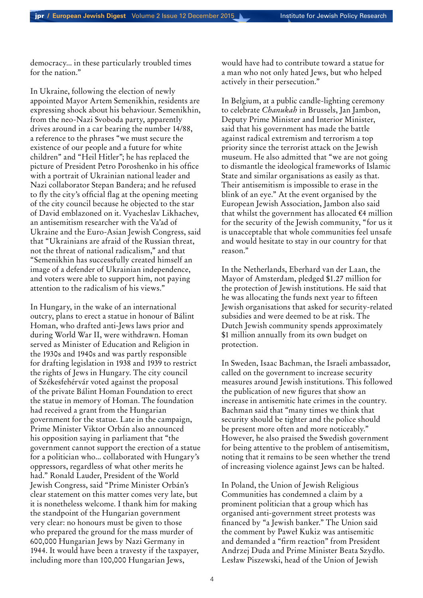democracy... in these particularly troubled times for the nation."

In Ukraine, following the election of newly appointed Mayor Artem Semenikhin, residents are expressing shock about his behaviour. Semenikhin, from the neo-Nazi Svoboda party, apparently drives around in a car bearing the number 14/88, a reference to the phrases "we must secure the existence of our people and a future for white children" and "Heil Hitler"; he has replaced the picture of President Petro Poroshenko in his office with a portrait of Ukrainian national leader and Nazi collaborator Stepan Bandera; and he refused to fly the city's official flag at the opening meeting of the city council because he objected to the star of David emblazoned on it. Vyacheslav Likhachev, an antisemitism researcher with the Va'ad of Ukraine and the Euro-Asian Jewish Congress, said that "Ukrainians are afraid of the Russian threat, not the threat of national radicalism," and that "Semenikhin has successfully created himself an image of a defender of Ukrainian independence, and voters were able to support him, not paying attention to the radicalism of his views."

In Hungary, in the wake of an international outcry, plans to erect a statue in honour of Bálint Homan, who drafted anti-Jews laws prior and during World War II, were withdrawn. Homan served as Minister of Education and Religion in the 1930s and 1940s and was partly responsible for drafting legislation in 1938 and 1939 to restrict the rights of Jews in Hungary. The city council of Székesfehérvár voted against the proposal of the private Bálint Homan Foundation to erect the statue in memory of Homan. The foundation had received a grant from the Hungarian government for the statue. Late in the campaign, Prime Minister Viktor Orbán also announced his opposition saying in parliament that "the government cannot support the erection of a statue for a politician who... collaborated with Hungary's oppressors, regardless of what other merits he had." Ronald Lauder, President of the World Jewish Congress, said "Prime Minister Orbán's clear statement on this matter comes very late, but it is nonetheless welcome. I thank him for making the standpoint of the Hungarian government very clear: no honours must be given to those who prepared the ground for the mass murder of 600,000 Hungarian Jews by Nazi Germany in 1944. It would have been a travesty if the taxpayer, including more than 100,000 Hungarian Jews,

would have had to contribute toward a statue for a man who not only hated Jews, but who helped actively in their persecution."

In Belgium, at a public candle-lighting ceremony to celebrate *Chanukah* in Brussels, Jan Jambon, Deputy Prime Minister and Interior Minister, said that his government has made the battle against radical extremism and terrorism a top priority since the terrorist attack on the Jewish museum. He also admitted that "we are not going to dismantle the ideological frameworks of Islamic State and similar organisations as easily as that. Their antisemitism is impossible to erase in the blink of an eye." At the event organised by the European Jewish Association, Jambon also said that whilst the government has allocated  $\epsilon$ 4 million for the security of the Jewish community, "for us it is unacceptable that whole communities feel unsafe and would hesitate to stay in our country for that reason."

In the Netherlands, Eberhard van der Laan, the Mayor of Amsterdam, pledged \$1.27 million for the protection of Jewish institutions. He said that he was allocating the funds next year to fifteen Jewish organisations that asked for security-related subsidies and were deemed to be at risk. The Dutch Jewish community spends approximately \$1 million annually from its own budget on protection.

In Sweden, Isaac Bachman, the Israeli ambassador, called on the government to increase security measures around Jewish institutions. This followed the publication of new figures that show an increase in antisemitic hate crimes in the country. Bachman said that "many times we think that security should be tighter and the police should be present more often and more noticeably." However, he also praised the Swedish government for being attentive to the problem of antisemitism, noting that it remains to be seen whether the trend of increasing violence against Jews can be halted.

In Poland, the Union of Jewish Religious Communities has condemned a claim by a prominent politician that a group which has organised anti-government street protests was financed by "a Jewish banker." The Union said the comment by Paweł Kukiz was antisemitic and demanded a "firm reaction" from President Andrzej Duda and Prime Minister Beata Szydło. Lesław Piszewski, head of the Union of Jewish

4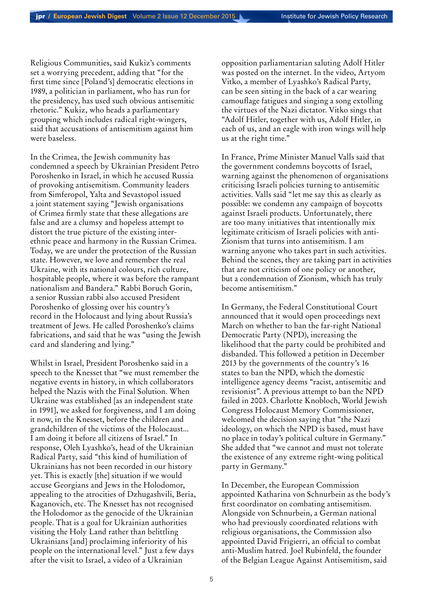Religious Communities, said Kukiz's comments set a worrying precedent, adding that "for the first time since [Poland's] democratic elections in 1989, a politician in parliament, who has run for the presidency, has used such obvious antisemitic rhetoric." Kukiz, who heads a parliamentary grouping which includes radical right-wingers, said that accusations of antisemitism against him were baseless.

In the Crimea, the Jewish community has condemned a speech by Ukrainian President Petro Poroshenko in Israel, in which he accused Russia of provoking antisemitism. Community leaders from Simferopol, Yalta and Sevastopol issued a joint statement saying "Jewish organisations of Crimea firmly state that these allegations are false and are a clumsy and hopeless attempt to distort the true picture of the existing interethnic peace and harmony in the Russian Crimea. Today, we are under the protection of the Russian state. However, we love and remember the real Ukraine, with its national colours, rich culture, hospitable people, where it was before the rampant nationalism and Bandera." Rabbi Boruch Gorin, a senior Russian rabbi also accused President Poroshenko of glossing over his country's record in the Holocaust and lying about Russia's treatment of Jews. He called Poroshenko's claims fabrications, and said that he was "using the Jewish card and slandering and lying."

Whilst in Israel, President Poroshenko said in a speech to the Knesset that "we must remember the negative events in history, in which collaborators helped the Nazis with the Final Solution. When Ukraine was established [as an independent state in 1991], we asked for forgiveness, and I am doing it now, in the Knesset, before the children and grandchildren of the victims of the Holocaust... I am doing it before all citizens of Israel." In response, Oleh Lyashko's, head of the Ukrainian Radical Party, said "this kind of humiliation of Ukrainians has not been recorded in our history yet. This is exactly [the] situation if we would accuse Georgians and Jews in the Holodomor, appealing to the atrocities of Dzhugashvili, Beria, Kaganovich, etc. The Knesset has not recognised the Holodomor as the genocide of the Ukrainian people. That is a goal for Ukrainian authorities visiting the Holy Land rather than belittling Ukrainians [and] proclaiming inferiority of his people on the international level." Just a few days after the visit to Israel, a video of a Ukrainian

opposition parliamentarian saluting Adolf Hitler was posted on the internet. In the video, Artyom Vitko, a member of Lyashko's Radical Party, can be seen sitting in the back of a car wearing camouflage fatigues and singing a song extolling the virtues of the Nazi dictator. Vitko sings that "Adolf Hitler, together with us, Adolf Hitler, in each of us, and an eagle with iron wings will help us at the right time."

In France, Prime Minister Manuel Valls said that the government condemns boycotts of Israel, warning against the phenomenon of organisations criticising Israeli policies turning to antisemitic activities. Valls said "let me say this as clearly as possible: we condemn any campaign of boycotts against Israeli products. Unfortunately, there are too many initiatives that intentionally mix legitimate criticism of Israeli policies with anti-Zionism that turns into antisemitism. I am warning anyone who takes part in such activities. Behind the scenes, they are taking part in activities that are not criticism of one policy or another, but a condemnation of Zionism, which has truly become antisemitism."

In Germany, the Federal Constitutional Court announced that it would open proceedings next March on whether to ban the far-right National Democratic Party (NPD), increasing the likelihood that the party could be prohibited and disbanded. This followed a petition in December 2013 by the governments of the country's 16 states to ban the NPD, which the domestic intelligence agency deems "racist, antisemitic and revisionist". A previous attempt to ban the NPD failed in 2003. Charlotte Knobloch, World Jewish Congress Holocaust Memory Commissioner, welcomed the decision saying that "the Nazi ideology, on which the NPD is based, must have no place in today's political culture in Germany." She added that "we cannot and must not tolerate the existence of any extreme right-wing political party in Germany."

In December, the European Commission appointed Katharina von Schnurbein as the body's first coordinator on combating antisemitism. Alongside von Schnurbein, a German national who had previously coordinated relations with religious organisations, the Commission also appointed David Frigierri, an official to combat anti-Muslim hatred. Joel Rubinfeld, the founder of the Belgian League Against Antisemitism, said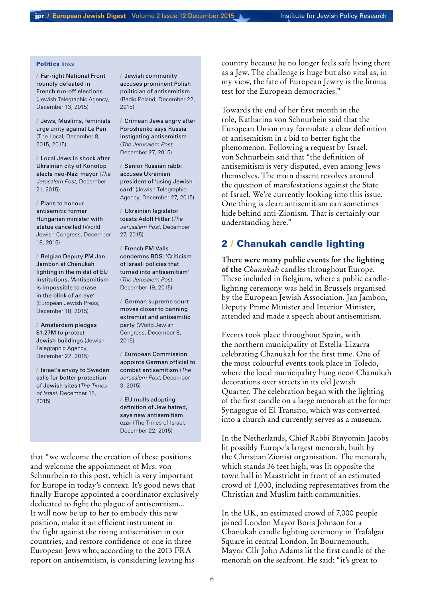#### Politics links

/ [Far-right National Front](http://www.jta.org/2015/12/13/news-opinion/world/far-right-national-front-roundly-defeated-in-french-runoff-elections)  [roundly defeated in](http://www.jta.org/2015/12/13/news-opinion/world/far-right-national-front-roundly-defeated-in-french-runoff-elections)  [French run-off elections](http://www.jta.org/2015/12/13/news-opinion/world/far-right-national-front-roundly-defeated-in-french-runoff-elections) (Jewish Telegraphic Agency, December 13, 2015)

/ [Jews, Muslims, feminists](http://www.thelocal.fr/20151208/frances-jews-urged-to-rise-against-national-front)  [urge unity against Le Pen](http://www.thelocal.fr/20151208/frances-jews-urged-to-rise-against-national-front) (The Local, December 8, 2015, 2015)

/ [Local Jews in shock after](http://www.jpost.com/Diaspora/Ukrainian-Jews-shocked-after-city-elects-neo-Nazi-mayor-437975)  [Ukrainian city of Konotop](http://www.jpost.com/Diaspora/Ukrainian-Jews-shocked-after-city-elects-neo-Nazi-mayor-437975)  [elects neo-Nazi mayor](http://www.jpost.com/Diaspora/Ukrainian-Jews-shocked-after-city-elects-neo-Nazi-mayor-437975) (*The Jerusalem Post*, December 21, 2015)

/ [Plans to honour](http://www.worldjewishcongress.org/en/news/plans-to-honor-anti-semitic-former-hungarian-minister-with-statue-canceled-12-5-2015)  [antisemitic former](http://www.worldjewishcongress.org/en/news/plans-to-honor-anti-semitic-former-hungarian-minister-with-statue-canceled-12-5-2015)  [Hungarian minister with](http://www.worldjewishcongress.org/en/news/plans-to-honor-anti-semitic-former-hungarian-minister-with-statue-canceled-12-5-2015)  [statue cancelled](http://www.worldjewishcongress.org/en/news/plans-to-honor-anti-semitic-former-hungarian-minister-with-statue-canceled-12-5-2015) (World Jewish Congress, December 18, 2015)

/ [Belgian Deputy PM Jan](http://ejpress.org/index.php?option=com_content&view=article&id=54793&catid=10)  [Jambon at Chanukah](http://ejpress.org/index.php?option=com_content&view=article&id=54793&catid=10)  [lighting in the midst of EU](http://ejpress.org/index.php?option=com_content&view=article&id=54793&catid=10)  [institutions, 'Antisemitism](http://ejpress.org/index.php?option=com_content&view=article&id=54793&catid=10)  [is impossible to erase](http://ejpress.org/index.php?option=com_content&view=article&id=54793&catid=10)  [in the blink of an eye'](http://ejpress.org/index.php?option=com_content&view=article&id=54793&catid=10) (European Jewish Press, December 18, 2015)

/ [Amsterdam pledges](http://www.jta.org/2015/12/22/news-opinion/world/amsterdam-pledges-1-27m-to-protect-jewish-buildings)  [\\$1.27M to protect](http://www.jta.org/2015/12/22/news-opinion/world/amsterdam-pledges-1-27m-to-protect-jewish-buildings)  [Jewish buildings](http://www.jta.org/2015/12/22/news-opinion/world/amsterdam-pledges-1-27m-to-protect-jewish-buildings) (Jewish Telegraphic Agency, December 22, 2015)

/ [Israel's envoy to Sweden](http://www.timesofisrael.com/israels-envoy-to-sweden-calls-for-better-protection-of-jewish-sites/)  [calls for better protection](http://www.timesofisrael.com/israels-envoy-to-sweden-calls-for-better-protection-of-jewish-sites/)  [of Jewish sites](http://www.timesofisrael.com/israels-envoy-to-sweden-calls-for-better-protection-of-jewish-sites/) (*The Times of Israel*, December 15, 2015)

/ [Jewish community](http://www.thenews.pl/1/9/Artykul/234028,Jewish-community-accuses-prominent-Polish-politician-of-antiSemitism)  [accuses prominent Polish](http://www.thenews.pl/1/9/Artykul/234028,Jewish-community-accuses-prominent-Polish-politician-of-antiSemitism)  [politician of antisemitism](http://www.thenews.pl/1/9/Artykul/234028,Jewish-community-accuses-prominent-Polish-politician-of-antiSemitism) (Radio Poland, December 22, 2015)

/ [Crimean Jews angry after](http://www.jpost.com/Diaspora/Crimean-Jews-angry-after-Poroshenko-says-Russia-instigating-anti-Semitism-438513) [Poroshenko says Russia](http://www.jpost.com/Diaspora/Crimean-Jews-angry-after-Poroshenko-says-Russia-instigating-anti-Semitism-438513)  instigating [antisemitism](http://www.jpost.com/Diaspora/Crimean-Jews-angry-after-Poroshenko-says-Russia-instigating-anti-Semitism-438513) (*The Jerusalem Post*, December 27, 2015)

/ [Senior Russian rabbi](http://www.jta.org/2015/12/27/news-opinion/world/senior-russian-rabbi-accuses-ukrainian-president-of-using-jewish-card)  [accuses Ukrainian](http://www.jta.org/2015/12/27/news-opinion/world/senior-russian-rabbi-accuses-ukrainian-president-of-using-jewish-card)  [president of 'using Jewish](http://www.jta.org/2015/12/27/news-opinion/world/senior-russian-rabbi-accuses-ukrainian-president-of-using-jewish-card)  [card](http://www.jta.org/2015/12/27/news-opinion/world/senior-russian-rabbi-accuses-ukrainian-president-of-using-jewish-card)' (Jewish Telegraphic Agency, December 27, 2015)

/ [Ukrainian legislator](http://www.jpost.com/Diaspora/Ukrainian-legislator-toasts-Hitler-438561)  [toasts Adolf Hitler](http://www.jpost.com/Diaspora/Ukrainian-legislator-toasts-Hitler-438561) (*The Jerusalem Post*, December 27, 2015)

/ [French PM Valls](http://www.jpost.com/International/French-PM-Valls-condemns-BDS-Criticism-of-Israeli-policies-that-turned-into-anti-Semitism-437814)  [condemns BDS: 'Criticism](http://www.jpost.com/International/French-PM-Valls-condemns-BDS-Criticism-of-Israeli-policies-that-turned-into-anti-Semitism-437814)  [of Israeli policies that](http://www.jpost.com/International/French-PM-Valls-condemns-BDS-Criticism-of-Israeli-policies-that-turned-into-anti-Semitism-437814)  [turned into antisemitism'](http://www.jpost.com/International/French-PM-Valls-condemns-BDS-Criticism-of-Israeli-policies-that-turned-into-anti-Semitism-437814) (*The Jerusalem Post*, December 19, 2015)

/ [German supreme court](http://www.worldjewishcongress.org/en/news/german-supreme-court-moves-closer-to-banning-extremist-and-anti-semitic-party-12-2-2015)  [moves closer to banning](http://www.worldjewishcongress.org/en/news/german-supreme-court-moves-closer-to-banning-extremist-and-anti-semitic-party-12-2-2015)  [extremist and antisemitic](http://www.worldjewishcongress.org/en/news/german-supreme-court-moves-closer-to-banning-extremist-and-anti-semitic-party-12-2-2015)  [party](http://www.worldjewishcongress.org/en/news/german-supreme-court-moves-closer-to-banning-extremist-and-anti-semitic-party-12-2-2015) (World Jewish Congress, December 8, 2015)

/ [European Commission](http://www.jpost.com/Diaspora/European-Commission-appoints-German-official-to-combat-anti-Semitism-436125)  [appoints German official to](http://www.jpost.com/Diaspora/European-Commission-appoints-German-official-to-combat-anti-Semitism-436125) [combat antisemitism](http://www.jpost.com/Diaspora/European-Commission-appoints-German-official-to-combat-anti-Semitism-436125) (*The Jerusalem Post*, December 3, 2015)

/ [EU mulls adopting](http://www.timesofisrael.com/eu-mulls-adopting-definition-of-jew-hatred-says-new-anti-semitism-czar/)  [definition of Jew hatred,](http://www.timesofisrael.com/eu-mulls-adopting-definition-of-jew-hatred-says-new-anti-semitism-czar/)  [says new antisemitism](http://www.timesofisrael.com/eu-mulls-adopting-definition-of-jew-hatred-says-new-anti-semitism-czar/)  [czar](http://www.timesofisrael.com/eu-mulls-adopting-definition-of-jew-hatred-says-new-anti-semitism-czar/) (The Times of Israel, December 22, 2015)

that "we welcome the creation of these positions and welcome the appointment of Mrs. von Schnurbein to this post, which is very important for Europe in today's context. It's good news that finally Europe appointed a coordinator exclusively dedicated to fight the plague of antisemitism... It will now be up to her to embody this new position, make it an efficient instrument in the fight against the rising antisemitism in our countries, and restore confidence of one in three European Jews who, according to the 2013 FRA report on antisemitism, is considering leaving his

country because he no longer feels safe living there as a Jew. The challenge is huge but also vital as, in my view, the fate of European Jewry is the litmus test for the European democracies."

Towards the end of her first month in the role, Katharina von Schnurbein said that the European Union may formulate a clear definition of antisemitism in a bid to better fight the phenomenon. Following a request by Israel, von Schnurbein said that "the definition of antisemitism is very disputed, even among Jews themselves. The main dissent revolves around the question of manifestations against the State of Israel. We're currently looking into this issue. One thing is clear: antisemitism can sometimes hide behind anti-Zionism. That is certainly our understanding here."

# 2 / Chanukah candle lighting

**There were many public events for the lighting of the** *Chanukah* candles throughout Europe. These included in Belgium, where a public candlelighting ceremony was held in Brussels organised by the European Jewish Association. Jan Jambon, Deputy Prime Minister and Interior Minister, attended and made a speech about antisemitism.

Events took place throughout Spain, with the northern municipality of Estella-Lizarra celebrating Chanukah for the first time. One of the most colourful events took place in Toledo, where the local municipality hung neon Chanukah decorations over streets in its old Jewish Quarter. The celebration began with the lighting of the first candle on a large menorah at the former Synagogue of El Transito, which was converted into a church and currently serves as a museum.

In the Netherlands, Chief Rabbi Binyomin Jacobs lit possibly Europe's largest menorah, built by the Christian Zionist organisation. The menorah, which stands 36 feet high, was lit opposite the town hall in Maastricht in front of an estimated crowd of 1,000, including representatives from the Christian and Muslim faith communities.

In the UK, an estimated crowd of 7,000 people joined London Mayor Boris Johnson for a Chanukah candle lighting ceremony in Trafalgar Square in central London. In Bournemouth, Mayor Cllr John Adams lit the first candle of the menorah on the seafront. He said: "it's great to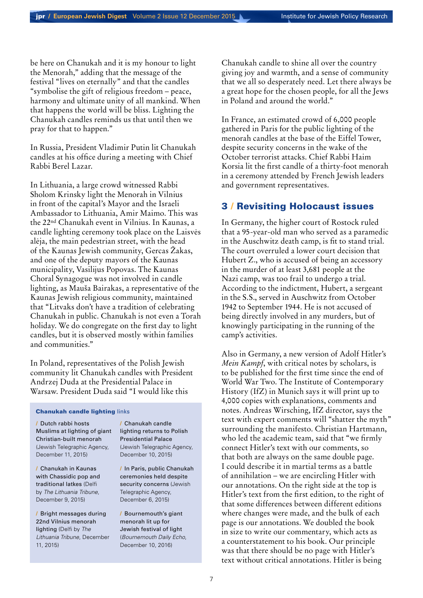be here on Chanukah and it is my honour to light the Menorah," adding that the message of the festival "lives on eternally" and that the candles "symbolise the gift of religious freedom – peace, harmony and ultimate unity of all mankind. When that happens the world will be bliss. Lighting the Chanukah candles reminds us that until then we pray for that to happen."

In Russia, President Vladimir Putin lit Chanukah candles at his office during a meeting with Chief Rabbi Berel Lazar.

In Lithuania, a large crowd witnessed Rabbi Sholom Krinsky light the Menorah in Vilnius in front of the capital's Mayor and the Israeli Ambassador to Lithuania, Amir Maimo. This was the 22nd Chanukah event in Vilnius. In Kaunas, a candle lighting ceremony took place on the Laisvės alėja, the main pedestrian street, with the head of the Kaunas Jewish community, Gercas Žakas, and one of the deputy mayors of the Kaunas municipality, Vasilijus Popovas. The Kaunas Choral Synagogue was not involved in candle lighting, as Mauša Bairakas, a representative of the Kaunas Jewish religious community, maintained that "Litvaks don't have a tradition of celebrating Chanukah in public. Chanukah is not even a Torah holiday. We do congregate on the first day to light candles, but it is observed mostly within families and communities."

In Poland, representatives of the Polish Jewish community lit Chanukah candles with President Andrzej Duda at the Presidential Palace in Warsaw. President Duda said "I would like this

#### Chanukah candle lighting links

/ [Dutch rabbi hosts](http://www.jta.org/2015/12/11/news-opinion/world/dutch-rabbi-hosts-muslims-at-lighting-of-giant-menorah-built-by-christians)  [Muslims at lighting of giant](http://www.jta.org/2015/12/11/news-opinion/world/dutch-rabbi-hosts-muslims-at-lighting-of-giant-menorah-built-by-christians)  [Christian-built menorah](http://www.jta.org/2015/12/11/news-opinion/world/dutch-rabbi-hosts-muslims-at-lighting-of-giant-menorah-built-by-christians) (Jewish Telegraphic Agency, December 11, 2015)

/ [Chanukah in Kaunas](http://en.delfi.lt/lithuania/society/hanukkah-in-kaunas-with-chassidic-pop-and-traditional-latkes.d?id=69802954)  [with Chassidic pop and](http://en.delfi.lt/lithuania/society/hanukkah-in-kaunas-with-chassidic-pop-and-traditional-latkes.d?id=69802954)  [traditional latkes](http://en.delfi.lt/lithuania/society/hanukkah-in-kaunas-with-chassidic-pop-and-traditional-latkes.d?id=69802954) (Delfi by *The Lithuania Tribune*, December 9, 2015)

/ [Bright messages during](http://en.delfi.lt/lithuania/society/bright-messages-during-22nd-vilnius-menorah-lighting.d?id=69829168)  [22nd Vilnius menorah](http://en.delfi.lt/lithuania/society/bright-messages-during-22nd-vilnius-menorah-lighting.d?id=69829168)  [lighting](http://en.delfi.lt/lithuania/society/bright-messages-during-22nd-vilnius-menorah-lighting.d?id=69829168) (Delfi by *The Lithuania Tribune*, December 11, 2015)

/ [Chanukah candle](http://www.jta.org/2015/12/10/news-opinion/world/hanukkah-candle-lighting-returns-to-polish-presidential-palace)  [lighting returns to Polish](http://www.jta.org/2015/12/10/news-opinion/world/hanukkah-candle-lighting-returns-to-polish-presidential-palace)  [Presidential Palace](http://www.jta.org/2015/12/10/news-opinion/world/hanukkah-candle-lighting-returns-to-polish-presidential-palace) (Jewish Telegraphic Agency, December 10, 2015)

/ [In Paris, public Chanukah](http://www.jta.org/2015/12/06/news-opinion/world/in-paris-public-candle-lightings-for-hanukkah-held-despite-security-concerns)  [ceremonies held despite](http://www.jta.org/2015/12/06/news-opinion/world/in-paris-public-candle-lightings-for-hanukkah-held-despite-security-concerns)  [security concerns](http://www.jta.org/2015/12/06/news-opinion/world/in-paris-public-candle-lightings-for-hanukkah-held-despite-security-concerns) (Jewish Telegraphic Agency, December 6, 2015)

/ [Bournemouth's giant](http://www.bournemouthecho.co.uk/news/14136337.print/)  [menorah lit up for](http://www.bournemouthecho.co.uk/news/14136337.print/)  [Jewish festival of light](http://www.bournemouthecho.co.uk/news/14136337.print/) (*Bournemouth Daily Echo*, December 10, 2016)

Chanukah candle to shine all over the country giving joy and warmth, and a sense of community that we all so desperately need. Let there always be a great hope for the chosen people, for all the Jews in Poland and around the world."

In France, an estimated crowd of 6,000 people gathered in Paris for the public lighting of the menorah candles at the base of the Eiffel Tower, despite security concerns in the wake of the October terrorist attacks. Chief Rabbi Haim Korsia lit the first candle of a thirty-foot menorah in a ceremony attended by French Jewish leaders and government representatives.

# 3 / Revisiting Holocaust issues

In Germany, the higher court of Rostock ruled that a 95-year-old man who served as a paramedic in the Auschwitz death camp, is fit to stand trial. The court overruled a lower court decision that Hubert Z., who is accused of being an accessory in the murder of at least 3,681 people at the Nazi camp, was too frail to undergo a trial. According to the indictment, Hubert, a sergeant in the S.S., served in Auschwitz from October 1942 to September 1944. He is not accused of being directly involved in any murders, but of knowingly participating in the running of the camp's activities.

Also in Germany, a new version of Adolf Hitler's *Mein Kampf*, with critical notes by scholars, is to be published for the first time since the end of World War Two. The Institute of Contemporary History (IfZ) in Munich says it will print up to 4,000 copies with explanations, comments and notes. Andreas Wirsching, IfZ director, says the text with expert comments will "shatter the myth" surrounding the manifesto. Christian Hartmann, who led the academic team, said that "we firmly connect Hitler's text with our comments, so that both are always on the same double page. I could describe it in martial terms as a battle of annihilation – we are encircling Hitler with our annotations. On the right side at the top is Hitler's text from the first edition, to the right of that some differences between different editions where changes were made, and the bulk of each page is our annotations. We doubled the book in size to write our commentary, which acts as a counterstatement to his book. Our principle was that there should be no page with Hitler's text without critical annotations. Hitler is being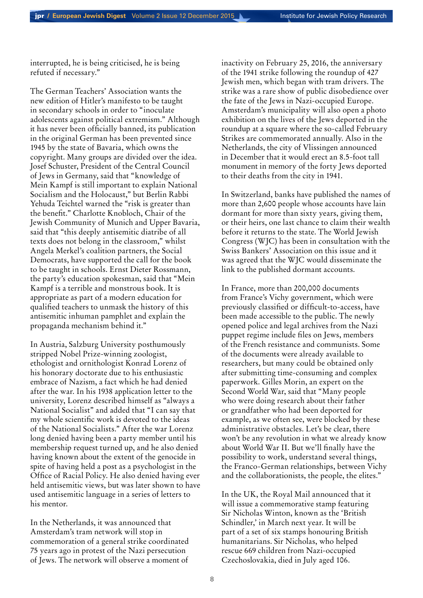interrupted, he is being criticised, he is being refuted if necessary."

The German Teachers' Association wants the new edition of Hitler's manifesto to be taught in secondary schools in order to "inoculate adolescents against political extremism." Although it has never been officially banned, its publication in the original German has been prevented since 1945 by the state of Bavaria, which owns the copyright. Many groups are divided over the idea. Josef Schuster, President of the Central Council of Jews in Germany, said that "knowledge of Mein Kampf is still important to explain National Socialism and the Holocaust," but Berlin Rabbi Yehuda Teichtel warned the "risk is greater than the benefit." Charlotte Knobloch, Chair of the Jewish Community of Munich and Upper Bavaria, said that "this deeply antisemitic diatribe of all texts does not belong in the classroom," whilst Angela Merkel's coalition partners, the Social Democrats, have supported the call for the book to be taught in schools. Ernst Dieter Rossmann, the party's education spokesman, said that "Mein Kampf is a terrible and monstrous book. It is appropriate as part of a modern education for qualified teachers to unmask the history of this antisemitic inhuman pamphlet and explain the propaganda mechanism behind it."

In Austria, Salzburg University posthumously stripped Nobel Prize-winning zoologist, ethologist and ornithologist Konrad Lorenz of his honorary doctorate due to his enthusiastic embrace of Nazism, a fact which he had denied after the war. In his 1938 application letter to the university, Lorenz described himself as "always a National Socialist" and added that "I can say that my whole scientific work is devoted to the ideas of the National Socialists." After the war Lorenz long denied having been a party member until his membership request turned up, and he also denied having known about the extent of the genocide in spite of having held a post as a psychologist in the Office of Racial Policy. He also denied having ever held antisemitic views, but was later shown to have used antisemitic language in a series of letters to his mentor.

In the Netherlands, it was announced that Amsterdam's tram network will stop in commemoration of a general strike coordinated 75 years ago in protest of the Nazi persecution of Jews. The network will observe a moment of inactivity on February 25, 2016, the anniversary of the 1941 strike following the roundup of 427 Jewish men, which began with tram drivers. The strike was a rare show of public disobedience over the fate of the Jews in Nazi-occupied Europe. Amsterdam's municipality will also open a photo exhibition on the lives of the Jews deported in the roundup at a square where the so-called February Strikes are commemorated annually. Also in the Netherlands, the city of Vlissingen announced in December that it would erect an 8.5-foot tall monument in memory of the forty Jews deported to their deaths from the city in 1941.

In Switzerland, banks have published the names of more than 2,600 people whose accounts have lain dormant for more than sixty years, giving them, or their heirs, one last chance to claim their wealth before it returns to the state. The World Jewish Congress (WJC) has been in consultation with the Swiss Bankers' Association on this issue and it was agreed that the WJC would disseminate the link to the published dormant accounts.

In France, more than 200,000 documents from France's Vichy government, which were previously classified or difficult-to-access, have been made accessible to the public. The newly opened police and legal archives from the Nazi puppet regime include files on Jews, members of the French resistance and communists. Some of the documents were already available to researchers, but many could be obtained only after submitting time-consuming and complex paperwork. Gilles Morin, an expert on the Second World War, said that "Many people who were doing research about their father or grandfather who had been deported for example, as we often see, were blocked by these administrative obstacles. Let's be clear, there won't be any revolution in what we already know about World War II. But we'll finally have the possibility to work, understand several things, the Franco-German relationships, between Vichy and the collaborationists, the people, the elites."

In the UK, the Royal Mail announced that it will issue a commemorative stamp featuring Sir Nicholas Winton, known as the 'British Schindler,' in March next year. It will be part of a set of six stamps honouring British humanitarians. Sir Nicholas, who helped rescue 669 children from Nazi-occupied Czechoslovakia, died in July aged 106.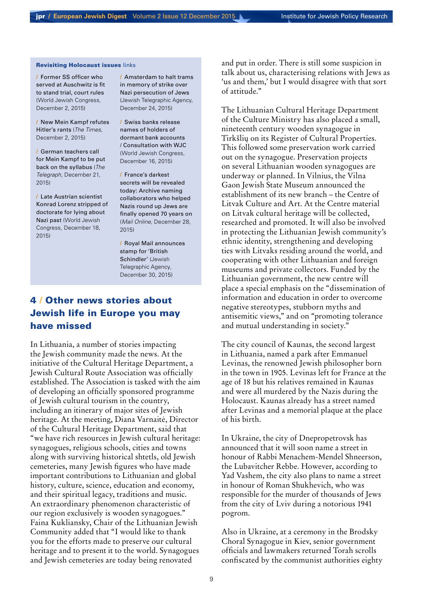#### Revisiting Holocaust issues links

/ [Former SS officer who](http://www.worldjewishcongress.org/en/news/former-ss-officer-who-served-at-auschwitz-is-fit-to-stand-trial-court-rules-12-3-2015)  [served at Auschwitz is fit](http://www.worldjewishcongress.org/en/news/former-ss-officer-who-served-at-auschwitz-is-fit-to-stand-trial-court-rules-12-3-2015)  [to stand trial, court rules](http://www.worldjewishcongress.org/en/news/former-ss-officer-who-served-at-auschwitz-is-fit-to-stand-trial-court-rules-12-3-2015) (World Jewish Congress, December 2, 2015)

/ [New Mein Kampf refutes](http://www.thetimes.co.uk/tto/news/world/europe/article4629235.ece?shareToken=363864a7bc425ab35e541c0b3bf6b4ec)  [Hitler's rants](http://www.thetimes.co.uk/tto/news/world/europe/article4629235.ece?shareToken=363864a7bc425ab35e541c0b3bf6b4ec) (*The Times*, December 2, 2015)

/ [German teachers call](http://www.telegraph.co.uk/news/worldnews/europe/germany/12061988/German-teachers-call-for-Mein-Kampf-to-be-put-back-on-the-syllabus.html)  [for Mein Kampf to be put](http://www.telegraph.co.uk/news/worldnews/europe/germany/12061988/German-teachers-call-for-Mein-Kampf-to-be-put-back-on-the-syllabus.html)  [back on the syllabus](http://www.telegraph.co.uk/news/worldnews/europe/germany/12061988/German-teachers-call-for-Mein-Kampf-to-be-put-back-on-the-syllabus.html) (*The Telegraph*, December 21, 2015)

/ [Late Austrian scientist](http://www.worldjewishcongress.org/en/news/late-austrian-scientist-konrad-lorenz-stripped-of-doctorate-for-lying-about-nazi-past-12-5-2015)  [Konrad Lorenz stripped of](http://www.worldjewishcongress.org/en/news/late-austrian-scientist-konrad-lorenz-stripped-of-doctorate-for-lying-about-nazi-past-12-5-2015)  [doctorate for lying about](http://www.worldjewishcongress.org/en/news/late-austrian-scientist-konrad-lorenz-stripped-of-doctorate-for-lying-about-nazi-past-12-5-2015)  [Nazi past](http://www.worldjewishcongress.org/en/news/late-austrian-scientist-konrad-lorenz-stripped-of-doctorate-for-lying-about-nazi-past-12-5-2015) (World Jewish Congress, December 18, 2015)

/ [Amsterdam to halt trams](http://www.jta.org/2015/12/24/news-opinion/world/amsterdam-to-halt-trams-in-memory-of-strike-over-nazi-persecution-of-jews)  [in memory of strike over](http://www.jta.org/2015/12/24/news-opinion/world/amsterdam-to-halt-trams-in-memory-of-strike-over-nazi-persecution-of-jews)  [Nazi persecution of Jews](http://www.jta.org/2015/12/24/news-opinion/world/amsterdam-to-halt-trams-in-memory-of-strike-over-nazi-persecution-of-jews) (Jewish Telegraphic Agency, December 24, 2015)

/ [Swiss banks release](http://www.worldjewishcongress.org/en/news/swiss-banks-release-2600-names-of-holders-of-dormant-accounts-12-3-2015)  [names of holders of](http://www.worldjewishcongress.org/en/news/swiss-banks-release-2600-names-of-holders-of-dormant-accounts-12-3-2015)  [dormant bank accounts](http://www.worldjewishcongress.org/en/news/swiss-banks-release-2600-names-of-holders-of-dormant-accounts-12-3-2015)  [/ Consultation with WJC](http://www.worldjewishcongress.org/en/news/swiss-banks-release-2600-names-of-holders-of-dormant-accounts-12-3-2015) (World Jewish Congress, December 16, 2015)

/ [France's darkest](http://www.dailymail.co.uk/news/article-3376099/The-names-responsible-helping-Nazis-round-kill-French-Jews-revealed-today-secret-archives-finally-opened.html)  [secrets will be revealed](http://www.dailymail.co.uk/news/article-3376099/The-names-responsible-helping-Nazis-round-kill-French-Jews-revealed-today-secret-archives-finally-opened.html)  [today: Archive naming](http://www.dailymail.co.uk/news/article-3376099/The-names-responsible-helping-Nazis-round-kill-French-Jews-revealed-today-secret-archives-finally-opened.html)  [collaborators who helped](http://www.dailymail.co.uk/news/article-3376099/The-names-responsible-helping-Nazis-round-kill-French-Jews-revealed-today-secret-archives-finally-opened.html)  [Nazis round up Jews are](http://www.dailymail.co.uk/news/article-3376099/The-names-responsible-helping-Nazis-round-kill-French-Jews-revealed-today-secret-archives-finally-opened.html)  [finally opened 70 years on](http://www.dailymail.co.uk/news/article-3376099/The-names-responsible-helping-Nazis-round-kill-French-Jews-revealed-today-secret-archives-finally-opened.html) (*Mail Online*, December 28, 2015)

/ [Royal Mail announces](http://www.jta.org/2015/12/30/news-opinion/world/royal-mail-announces-stamp-for-british-schindler)  [stamp for 'British](http://www.jta.org/2015/12/30/news-opinion/world/royal-mail-announces-stamp-for-british-schindler)  [Schindler'](http://www.jta.org/2015/12/30/news-opinion/world/royal-mail-announces-stamp-for-british-schindler) (Jewish Telegraphic Agency, December 30, 2015)

# 4 / Other news stories about Jewish life in Europe you may have missed

In Lithuania, a number of stories impacting the Jewish community made the news. At the initiative of the Cultural Heritage Department, a Jewish Cultural Route Association was officially established. The Association is tasked with the aim of developing an officially sponsored programme of Jewish cultural tourism in the country, including an itinerary of major sites of Jewish heritage. At the meeting, Diana Varnaitė, Director of the Cultural Heritage Department, said that "we have rich resources in Jewish cultural heritage: synagogues, religious schools, cities and towns along with surviving historical shtetls, old Jewish cemeteries, many Jewish figures who have made important contributions to Lithuanian and global history, culture, science, education and economy, and their spiritual legacy, traditions and music. An extraordinary phenomenon characteristic of our region exclusively is wooden synagogues." Faina Kukliansky, Chair of the Lithuanian Jewish Community added that "I would like to thank you for the efforts made to preserve our cultural heritage and to present it to the world. Synagogues and Jewish cemeteries are today being renovated

and put in order. There is still some suspicion in talk about us, characterising relations with Jews as 'us and them,' but I would disagree with that sort of attitude."

The Lithuanian Cultural Heritage Department of the Culture Ministry has also placed a small, nineteenth century wooden synagogue in Tirkšlių on its Register of Cultural Properties. This followed some preservation work carried out on the synagogue. Preservation projects on several Lithuanian wooden synagogues are underway or planned. In Vilnius, the Vilna Gaon Jewish State Museum announced the establishment of its new branch – the Centre of Litvak Culture and Art. At the Centre material on Litvak cultural heritage will be collected, researched and promoted. It will also be involved in protecting the Lithuanian Jewish community's ethnic identity, strengthening and developing ties with Litvaks residing around the world, and cooperating with other Lithuanian and foreign museums and private collectors. Funded by the Lithuanian government, the new centre will place a special emphasis on the "dissemination of information and education in order to overcome negative stereotypes, stubborn myths and antisemitic views," and on "promoting tolerance and mutual understanding in society."

The city council of Kaunas, the second largest in Lithuania, named a park after Emmanuel Levinas, the renowned Jewish philosopher born in the town in 1905. Levinas left for France at the age of 18 but his relatives remained in Kaunas and were all murdered by the Nazis during the Holocaust. Kaunas already has a street named after Levinas and a memorial plaque at the place of his birth.

In Ukraine, the city of Dnepropetrovsk has announced that it will soon name a street in honour of Rabbi Menachem-Mendel Shneerson, the Lubavitcher Rebbe. However, according to Yad Vashem, the city also plans to name a street in honour of Roman Shukhevich, who was responsible for the murder of thousands of Jews from the city of Lviv during a notorious 1941 pogrom.

Also in Ukraine, at a ceremony in the Brodsky Choral Synagogue in Kiev, senior government officials and lawmakers returned Torah scrolls confiscated by the communist authorities eighty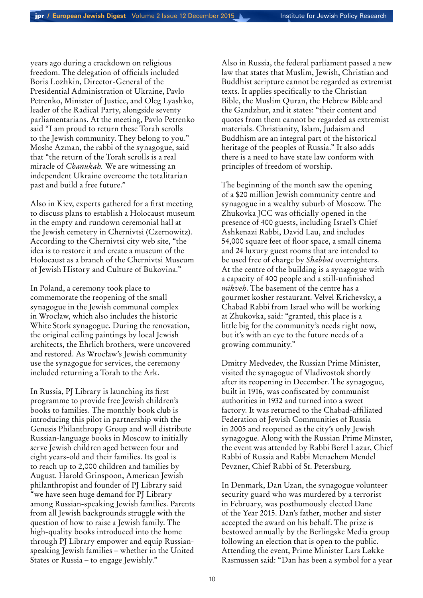years ago during a crackdown on religious freedom. The delegation of officials included Boris Lozhkin, Director-General of the Presidential Administration of Ukraine, Pavlo Petrenko, Minister of Justice, and Oleg Lyashko, leader of the Radical Party, alongside seventy parliamentarians. At the meeting, Pavlo Petrenko said "I am proud to return these Torah scrolls to the Jewish community. They belong to you." Moshe Azman, the rabbi of the synagogue, said that "the return of the Torah scrolls is a real miracle of *Chanukah.* We are witnessing an independent Ukraine overcome the totalitarian past and build a free future."

Also in Kiev, experts gathered for a first meeting to discuss plans to establish a Holocaust museum in the empty and rundown ceremonial hall at the Jewish cemetery in Chernivtsi (Czernowitz). According to the Chernivtsi city web site, "the idea is to restore it and create a museum of the Holocaust as a branch of the Chernivtsi Museum of Jewish History and Culture of Bukovina."

In Poland, a ceremony took place to commemorate the reopening of the small synagogue in the Jewish communal complex in Wrocław, which also includes the historic White Stork synagogue. During the renovation, the original ceiling paintings by local Jewish architects, the Ehrlich brothers, were uncovered and restored. As Wrocław's Jewish community use the synagogue for services, the ceremony included returning a Torah to the Ark.

In Russia, PJ Library is launching its first programme to provide free Jewish children's books to families. The monthly book club is introducing this pilot in partnership with the Genesis Philanthropy Group and will distribute Russian-language books in Moscow to initially serve Jewish children aged between four and eight years-old and their families. Its goal is to reach up to 2,000 children and families by August. Harold Grinspoon, American Jewish philanthropist and founder of PJ Library said "we have seen huge demand for PJ Library among Russian-speaking Jewish families. Parents from all Jewish backgrounds struggle with the question of how to raise a Jewish family. The high-quality books introduced into the home through PJ Library empower and equip Russianspeaking Jewish families – whether in the United States or Russia – to engage Jewishly."

Also in Russia, the federal parliament passed a new law that states that Muslim, Jewish, Christian and Buddhist scripture cannot be regarded as extremist texts. It applies specifically to the Christian Bible, the Muslim Quran, the Hebrew Bible and the Gandzhur, and it states: "their content and quotes from them cannot be regarded as extremist materials. Christianity, Islam, Judaism and Buddhism are an integral part of the historical heritage of the peoples of Russia." It also adds there is a need to have state law conform with principles of freedom of worship.

The beginning of the month saw the opening of a \$20 million Jewish community centre and synagogue in a wealthy suburb of Moscow. The Zhukovka JCC was officially opened in the presence of 400 guests, including Israel's Chief Ashkenazi Rabbi, David Lau, and includes 54,000 square feet of floor space, a small cinema and 24 luxury guest rooms that are intended to be used free of charge by *Shabbat* overnighters. At the centre of the building is a synagogue with a capacity of 400 people and a still-unfinished *mikveh*. The basement of the centre has a gourmet kosher restaurant. Velvel Krichevsky, a Chabad Rabbi from Israel who will be working at Zhukovka, said: "granted, this place is a little big for the community's needs right now, but it's with an eye to the future needs of a growing community."

Dmitry Medvedev, the Russian Prime Minister, visited the synagogue of Vladivostok shortly after its reopening in December. The synagogue, built in 1916, was confiscated by communist authorities in 1932 and turned into a sweet factory. It was returned to the Chabad-affiliated Federation of Jewish Communities of Russia in 2005 and reopened as the city's only Jewish synagogue. Along with the Russian Prime Minster, the event was attended by Rabbi Berel Lazar, Chief Rabbi of Russia and Rabbi Menachem Mendel Pevzner, Chief Rabbi of St. Petersburg.

In Denmark, Dan Uzan, the synagogue volunteer security guard who was murdered by a terrorist in February, was posthumously elected Dane of the Year 2015. Dan's father, mother and sister accepted the award on his behalf. The prize is bestowed annually by the Berlingske Media group following an election that is open to the public. Attending the event, Prime Minister Lars Løkke Rasmussen said: "Dan has been a symbol for a year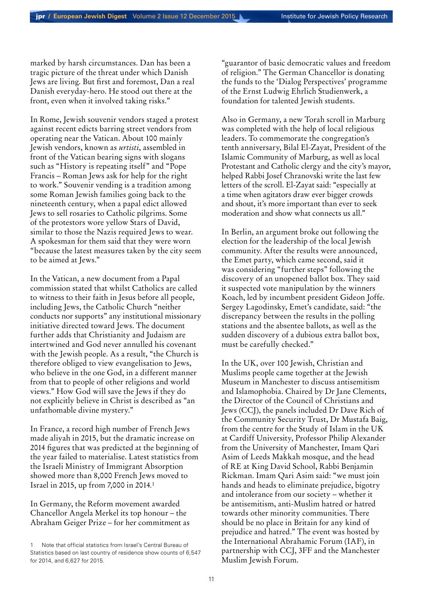marked by harsh circumstances. Dan has been a tragic picture of the threat under which Danish Jews are living. But first and foremost, Dan a real Danish everyday-hero. He stood out there at the front, even when it involved taking risks."

In Rome, Jewish souvenir vendors staged a protest against recent edicts barring street vendors from operating near the Vatican. About 100 mainly Jewish vendors, known as *urtisti*, assembled in front of the Vatican bearing signs with slogans such as "History is repeating itself" and "Pope Francis – Roman Jews ask for help for the right to work." Souvenir vending is a tradition among some Roman Jewish families going back to the nineteenth century, when a papal edict allowed Jews to sell rosaries to Catholic pilgrims. Some of the protestors wore yellow Stars of David, similar to those the Nazis required Jews to wear. A spokesman for them said that they were worn "because the latest measures taken by the city seem to be aimed at Jews."

In the Vatican, a new document from a Papal commission stated that whilst Catholics are called to witness to their faith in Jesus before all people, including Jews, the Catholic Church "neither conducts nor supports" any institutional missionary initiative directed toward Jews. The document further adds that Christianity and Judaism are intertwined and God never annulled his covenant with the Jewish people. As a result, "the Church is therefore obliged to view evangelisation to Jews, who believe in the one God, in a different manner from that to people of other religions and world views." How God will save the Jews if they do not explicitly believe in Christ is described as "an unfathomable divine mystery."

In France, a record high number of French Jews made aliyah in 2015, but the dramatic increase on 2014 figures that was predicted at the beginning of the year failed to materialise. Latest statistics from the Israeli Ministry of Immigrant Absorption showed more than 8,000 French Jews moved to Israel in 2015, up from 7,000 in 2014*.* 1

In Germany, the Reform movement awarded Chancellor Angela Merkel its top honour – the Abraham Geiger Prize – for her commitment as

"guarantor of basic democratic values and freedom of religion." The German Chancellor is donating the funds to the 'Dialog Perspectives' programme of the Ernst Ludwig Ehrlich Studienwerk, a foundation for talented Jewish students.

Also in Germany, a new Torah scroll in Marburg was completed with the help of local religious leaders. To commemorate the congregation's tenth anniversary, Bilal El-Zayat, President of the Islamic Community of Marburg, as well as local Protestant and Catholic clergy and the city's mayor, helped Rabbi Josef Chranovski write the last few letters of the scroll. El-Zayat said: "especially at a time when agitators draw ever bigger crowds and shout, it's more important than ever to seek moderation and show what connects us all."

In Berlin, an argument broke out following the election for the leadership of the local Jewish community. After the results were announced, the Emet party, which came second, said it was considering "further steps" following the discovery of an unopened ballot box. They said it suspected vote manipulation by the winners Koach, led by incumbent president Gideon Joffe. Sergey Lagodinsky, Emet's candidate, said: "the discrepancy between the results in the polling stations and the absentee ballots, as well as the sudden discovery of a dubious extra ballot box, must be carefully checked."

In the UK, over 100 Jewish, Christian and Muslims people came together at the Jewish Museum in Manchester to discuss antisemitism and Islamophobia. Chaired by Dr Jane Clements, the Director of the Council of Christians and Jews (CCJ), the panels included Dr Dave Rich of the Community Security Trust, Dr Mustafa Baig, from the centre for the Study of Islam in the UK at Cardiff University, Professor Philip Alexander from the University of Manchester, Imam Qari Asim of Leeds Makkah mosque, and the head of RE at King David School, Rabbi Benjamin Rickman. Imam Qari Asim said: "we must join hands and heads to eliminate prejudice, bigotry and intolerance from our society – whether it be antisemitism, anti-Muslim hatred or hatred towards other minority communities. There should be no place in Britain for any kind of prejudice and hatred." The event was hosted by the International Abrahamic Forum (IAF), in partnership with CCJ, 3FF and the Manchester Muslim Jewish Forum.

<sup>1</sup> Note that official statistics from Israel's Central Bureau of Statistics based on last country of residence show counts of 6,547 for 2014, and 6,627 for 2015.